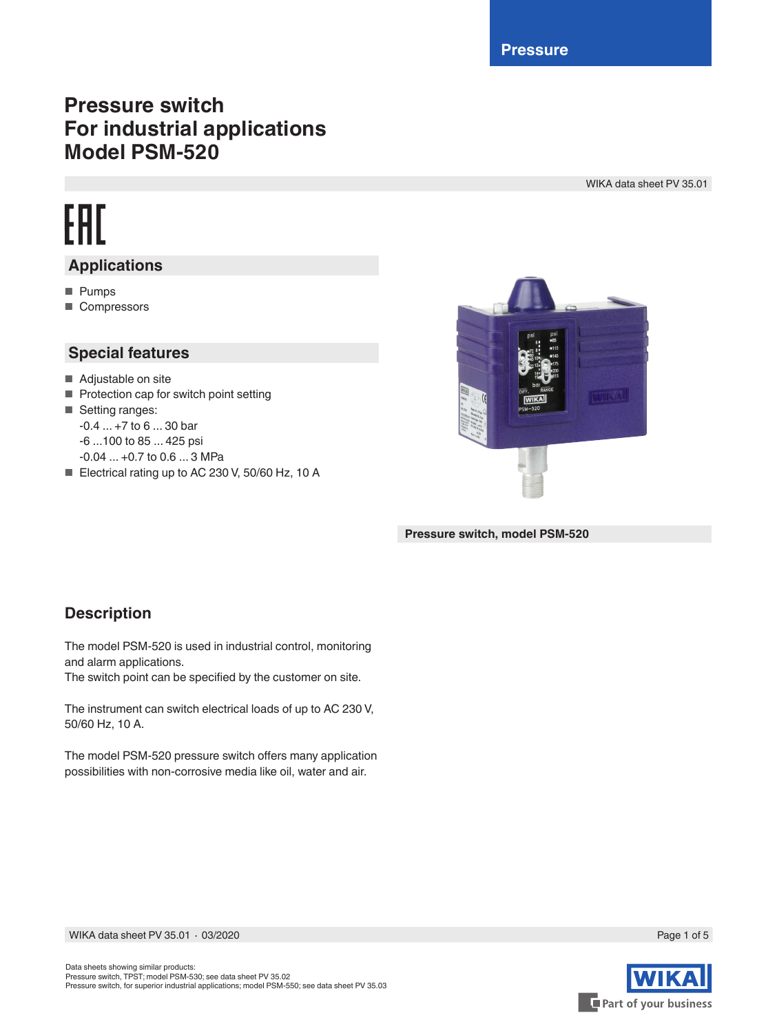**Pressure**

## **Pressure switch For industrial applications Model PSM-520**

WIKA data sheet PV 35.01

# FAT **Applications**

- Pumps
- Compressors

### **Special features**

- Adjustable on site
- Protection cap for switch point setting
- Setting ranges: -0.4 ... +7 to 6 ... 30 bar -6 ...100 to 85 ... 425 psi -0.04 ... +0.7 to 0.6 ... 3 MPa
- Electrical rating up to AC 230 V, 50/60 Hz, 10 A



**Pressure switch, model PSM-520**

### **Description**

The model PSM-520 is used in industrial control, monitoring and alarm applications.

The switch point can be specified by the customer on site.

The instrument can switch electrical loads of up to AC 230 V, 50/60 Hz, 10 A.

The model PSM-520 pressure switch offers many application possibilities with non-corrosive media like oil, water and air.



Page 1 of 5

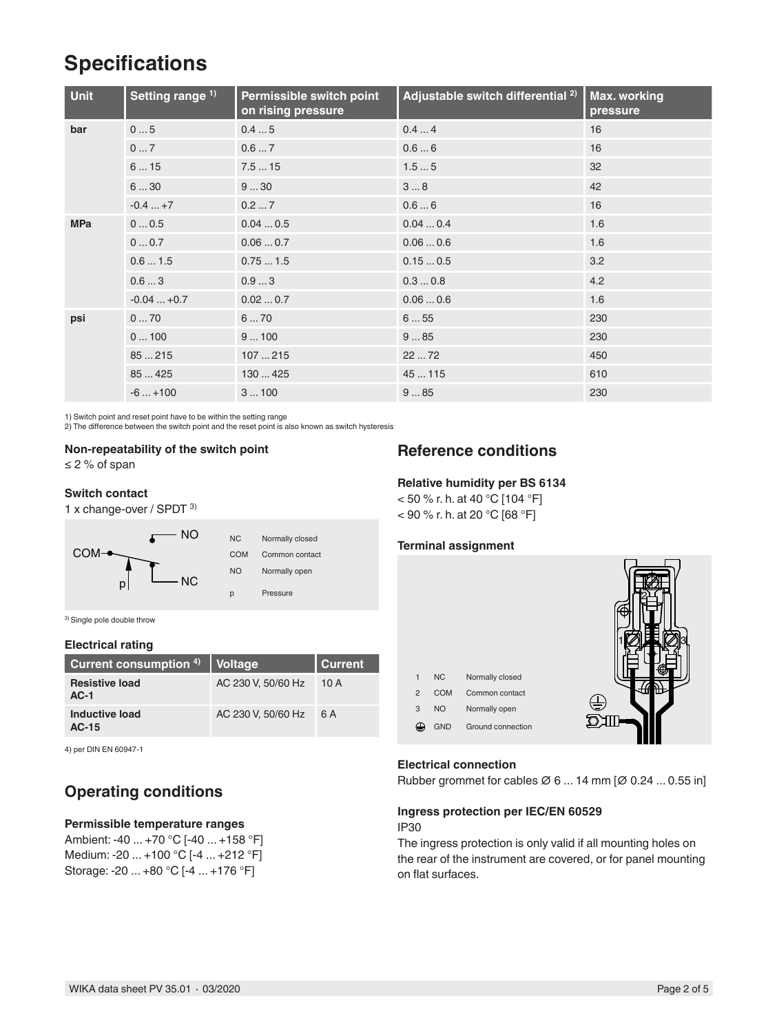# **Specifications**

| <b>Unit</b> | Setting range <sup>1)</sup> | Permissible switch point<br>on rising pressure | Adjustable switch differential <sup>2)</sup> | Max. working<br>pressure |
|-------------|-----------------------------|------------------------------------------------|----------------------------------------------|--------------------------|
| bar         | 05                          | 0.45                                           | 0.44                                         | 16                       |
|             | 07                          | 0.67                                           | 0.66                                         | 16                       |
|             | 615                         | 7.515                                          | 1.55                                         | 32                       |
|             | 630                         | 930                                            | 38                                           | 42                       |
|             | $-0.4+7$                    | 0.27                                           | 0.66                                         | 16                       |
| <b>MPa</b>  | 00.5                        | 0.040.5                                        | 0.040.4                                      | 1.6                      |
|             | 00.7                        | 0.060.7                                        | 0.060.6                                      | 1.6                      |
|             | 0.61.5                      | 0.751.5                                        | 0.150.5                                      | 3.2                      |
|             | 0.63                        | 0.93                                           | 0.30.8                                       | 4.2                      |
|             | $-0.04+0.7$                 | 0.020.7                                        | 0.060.6                                      | 1.6                      |
| psi         | 070                         | 670                                            | 655                                          | 230                      |
|             | 0100                        | 9100                                           | 985                                          | 230                      |
|             | 85215                       | 107215                                         | 2272                                         | 450                      |
|             | 85425                       | 130425                                         | 45115                                        | 610                      |
|             | $-6+100$                    | 3100                                           | 985                                          | 230                      |

1) Switch point and reset point have to be within the setting range

2) The difference between the switch point and the reset point is also known as switch hysteresis

### **Non-repeatability of the switch point**

≤ 2 % of span

#### **Switch contact**

1 x change-over / SPDT 3)



3) Single pole double throw

#### **Electrical rating**

| Current consumption 4)          | Voltage            | <b>Current</b> |
|---------------------------------|--------------------|----------------|
| <b>Resistive load</b><br>$AC-1$ | AC 230 V, 50/60 Hz | 10 A           |
| Inductive load<br>$AC-15$       | AC 230 V, 50/60 Hz | 6 A            |

4) per DIN EN 60947-1

### **Operating conditions**

#### **Permissible temperature ranges**

Ambient: -40 ... +70 °C [-40 ... +158 °F] Medium: -20 ... +100 °C [-4 ... +212 °F] Storage: -20 ... +80 °C [-4 ... +176 °F]

### **Reference conditions**

#### **Relative humidity per BS 6134**

 $<$  50 % r. h. at 40 °C [104 °F] < 90 % r. h. at 20 °C [68 °F]

#### **Terminal assignment**



#### **Electrical connection**

Rubber grommet for cables ∅ 6 ... 14 mm [∅ 0.24 ... 0.55 in]

#### **Ingress protection per IEC/EN 60529** IP30

The ingress protection is only valid if all mounting holes on the rear of the instrument are covered, or for panel mounting on flat surfaces.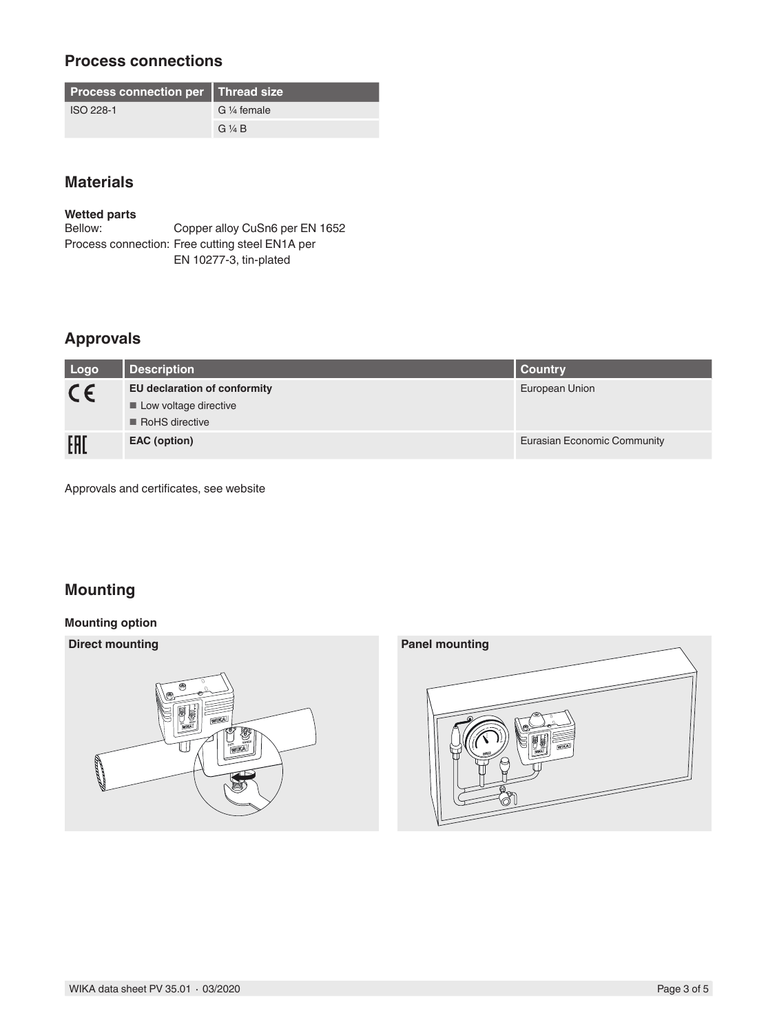### **Process connections**

| <b>Process connection per   Thread size</b> |                        |  |
|---------------------------------------------|------------------------|--|
| ISO 228-1                                   | G $\frac{1}{4}$ female |  |
|                                             | $G\mathrel{\vee} A B$  |  |

### **Materials**

**Wetted parts**

Copper alloy CuSn6 per EN 1652 Process connection: Free cutting steel EN1A per EN 10277-3, tin-plated

### **Approvals**

| Logo    | <b>Description</b>                   | <b>Country</b>              |
|---------|--------------------------------------|-----------------------------|
| $C \in$ | <b>EU declaration of conformity</b>  | European Union              |
|         | $\blacksquare$ Low voltage directive |                             |
|         | $\blacksquare$ RoHS directive        |                             |
| EAI     | EAC (option)                         | Eurasian Economic Community |

Approvals and certificates, see website

### **Mounting**

#### **Mounting option**



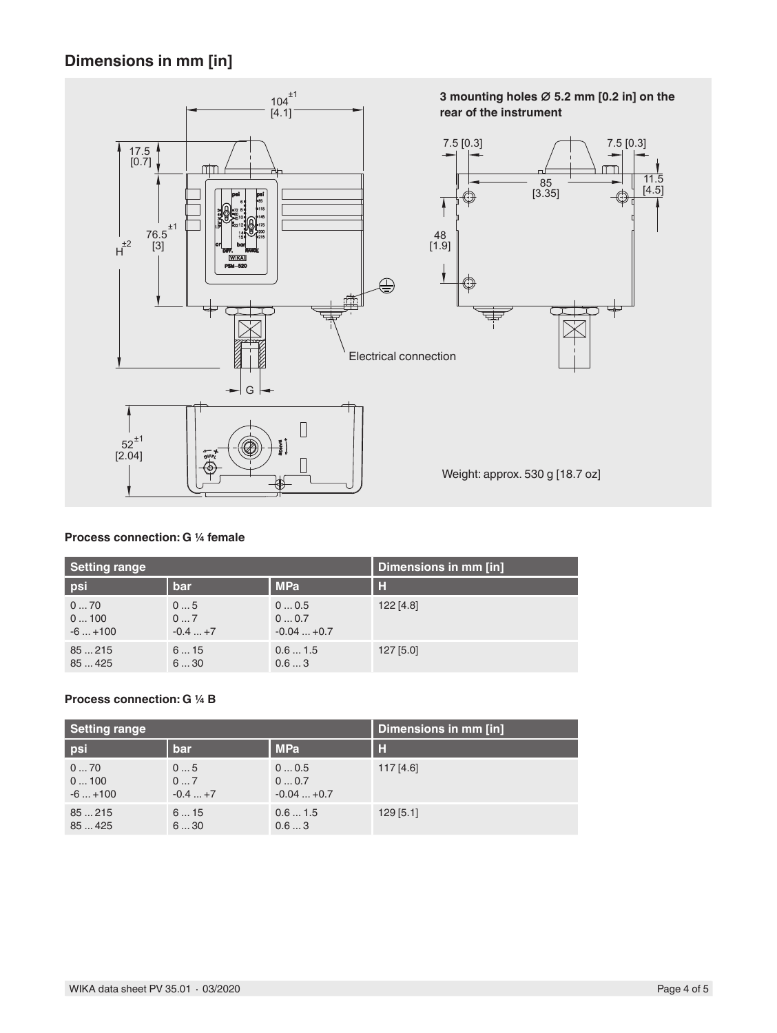### **Dimensions in mm [in]**



#### **Process connection: G ¼ female**

| <b>Setting range</b> |          | Dimensions in mm [in] |           |  |
|----------------------|----------|-----------------------|-----------|--|
| psi                  | bar      | <b>MPa</b>            | H         |  |
| 070                  | 05       | 00.5                  | 122 [4.8] |  |
| 0100                 | 07       | 00.7                  |           |  |
| $-6+100$             | $-0.4+7$ | $-0.04+0.7$           |           |  |
| 85215                | 615      | 0.61.5                | 127 [5.0] |  |
| 85425                | 630      | 0.63                  |           |  |

#### **Process connection: G ¼ B**

| Setting range |          | Dimensions in mm [in] |             |  |
|---------------|----------|-----------------------|-------------|--|
| psi           | bar      | <b>MPa</b>            | н           |  |
| 070           | 05       | 00.5                  | 117[4.6]    |  |
| 0100          | 07       | 00.7                  |             |  |
| $-6+100$      | $-0.4+7$ | $-0.04+0.7$           |             |  |
| 85215         | 615      | 0.61.5                | $129$ [5.1] |  |
| 85425         | 630      | 0.63                  |             |  |